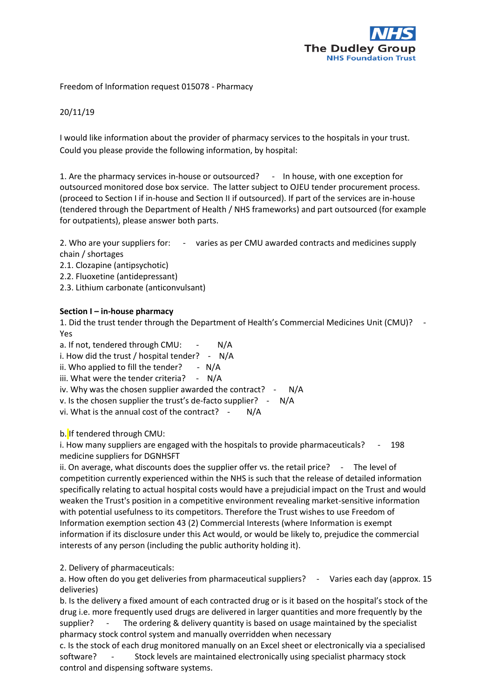

Freedom of Information request 015078 - Pharmacy

## 20/11/19

I would like information about the provider of pharmacy services to the hospitals in your trust. Could you please provide the following information, by hospital:

1. Are the pharmacy services in-house or outsourced? - In house, with one exception for outsourced monitored dose box service. The latter subject to OJEU tender procurement process. (proceed to Section I if in-house and Section II if outsourced). If part of the services are in-house (tendered through the Department of Health / NHS frameworks) and part outsourced (for example for outpatients), please answer both parts.

2. Who are your suppliers for: - varies as per CMU awarded contracts and medicines supply chain / shortages

- 2.1. Clozapine (antipsychotic)
- 2.2. Fluoxetine (antidepressant)
- 2.3. Lithium carbonate (anticonvulsant)

## **Section I – in-house pharmacy**

1. Did the trust tender through the Department of Health's Commercial Medicines Unit (CMU)? - Yes

a. If not, tendered through CMU: - N/A

i. How did the trust / hospital tender? - N/A

ii. Who applied to fill the tender?  $- N/A$ 

iii. What were the tender criteria? - N/A

iv. Why was the chosen supplier awarded the contract? - N/A

v. Is the chosen supplier the trust's de-facto supplier? - N/A

vi. What is the annual cost of the contract? - N/A

b. If tendered through CMU:

i. How many suppliers are engaged with the hospitals to provide pharmaceuticals? - 198 medicine suppliers for DGNHSFT

ii. On average, what discounts does the supplier offer vs. the retail price? - The level of competition currently experienced within the NHS is such that the release of detailed information specifically relating to actual hospital costs would have a prejudicial impact on the Trust and would weaken the Trust's position in a competitive environment revealing market-sensitive information with potential usefulness to its competitors. Therefore the Trust wishes to use Freedom of Information exemption section 43 (2) Commercial Interests (where Information is exempt information if its disclosure under this Act would, or would be likely to, prejudice the commercial interests of any person (including the public authority holding it).

2. Delivery of pharmaceuticals:

a. How often do you get deliveries from pharmaceutical suppliers? - Varies each day (approx. 15 deliveries)

b. Is the delivery a fixed amount of each contracted drug or is it based on the hospital's stock of the drug i.e. more frequently used drugs are delivered in larger quantities and more frequently by the supplier? - The ordering & delivery quantity is based on usage maintained by the specialist pharmacy stock control system and manually overridden when necessary

c. Is the stock of each drug monitored manually on an Excel sheet or electronically via a specialised software? - Stock levels are maintained electronically using specialist pharmacy stock control and dispensing software systems.